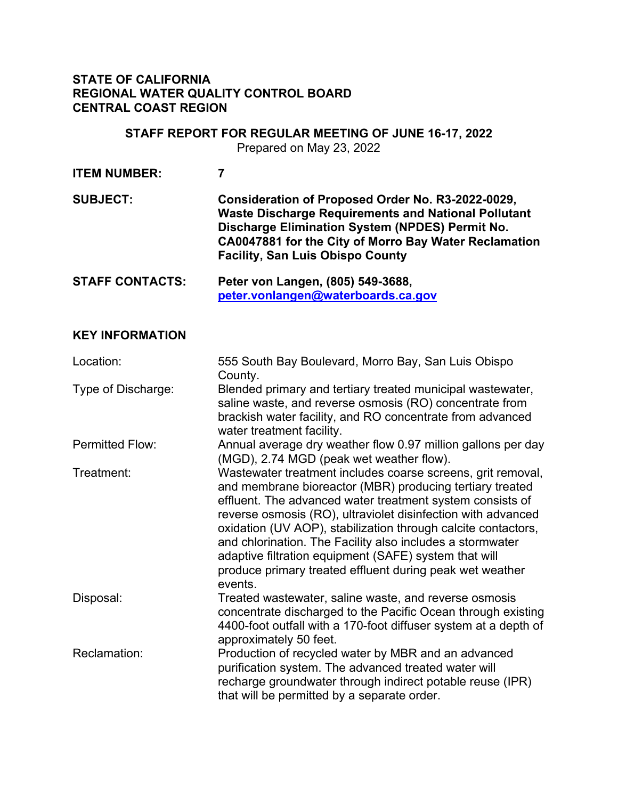### **STATE OF CALIFORNIA REGIONAL WATER QUALITY CONTROL BOARD CENTRAL COAST REGION**

# **STAFF REPORT FOR REGULAR MEETING OF JUNE 16-17, 2022** Prepared on May 23, 2022 **ITEM NUMBER: 7 SUBJECT: Consideration of Proposed Order No. R3-2022-0029, Waste Discharge Requirements and National Pollutant Discharge Elimination System (NPDES) Permit No. CA0047881 for the City of Morro Bay Water Reclamation Facility, San Luis Obispo County STAFF CONTACTS: Peter von Langen, (805) 549-3688, [peter.vonlangen@waterboards.ca.gov](mailto:peter.vonlangen@waterboards.ca.gov)**

#### **KEY INFORMATION**

| Location:              | 555 South Bay Boulevard, Morro Bay, San Luis Obispo<br>County.                                                                                                                                                                                                                                                                                                                                                                                                                                                     |
|------------------------|--------------------------------------------------------------------------------------------------------------------------------------------------------------------------------------------------------------------------------------------------------------------------------------------------------------------------------------------------------------------------------------------------------------------------------------------------------------------------------------------------------------------|
| Type of Discharge:     | Blended primary and tertiary treated municipal wastewater,<br>saline waste, and reverse osmosis (RO) concentrate from<br>brackish water facility, and RO concentrate from advanced<br>water treatment facility.                                                                                                                                                                                                                                                                                                    |
| <b>Permitted Flow:</b> | Annual average dry weather flow 0.97 million gallons per day<br>(MGD), 2.74 MGD (peak wet weather flow).                                                                                                                                                                                                                                                                                                                                                                                                           |
| Treatment:             | Wastewater treatment includes coarse screens, grit removal,<br>and membrane bioreactor (MBR) producing tertiary treated<br>effluent. The advanced water treatment system consists of<br>reverse osmosis (RO), ultraviolet disinfection with advanced<br>oxidation (UV AOP), stabilization through calcite contactors,<br>and chlorination. The Facility also includes a stormwater<br>adaptive filtration equipment (SAFE) system that will<br>produce primary treated effluent during peak wet weather<br>events. |
| Disposal:              | Treated wastewater, saline waste, and reverse osmosis<br>concentrate discharged to the Pacific Ocean through existing<br>4400-foot outfall with a 170-foot diffuser system at a depth of<br>approximately 50 feet.                                                                                                                                                                                                                                                                                                 |
| Reclamation:           | Production of recycled water by MBR and an advanced<br>purification system. The advanced treated water will<br>recharge groundwater through indirect potable reuse (IPR)<br>that will be permitted by a separate order.                                                                                                                                                                                                                                                                                            |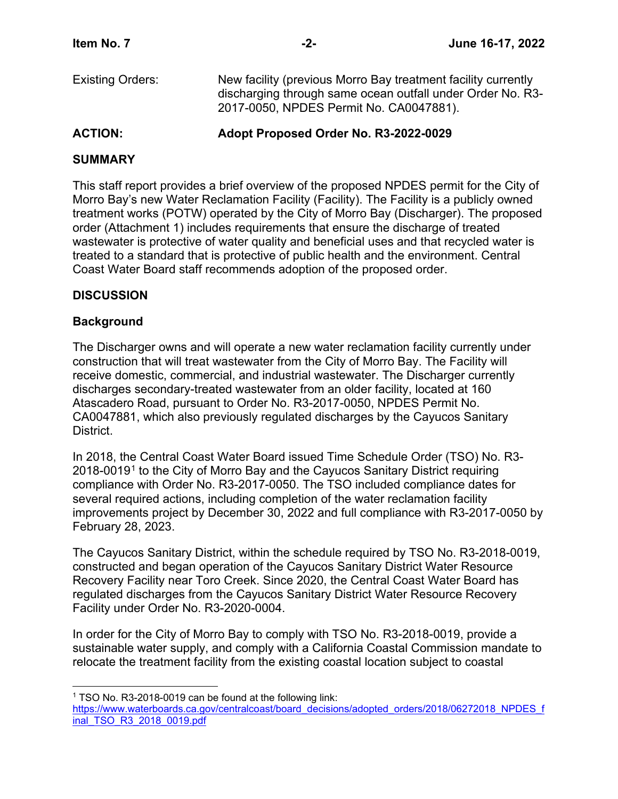| <b>Existing Orders:</b> | New facility (previous Morro Bay treatment facility currently |
|-------------------------|---------------------------------------------------------------|
|                         | discharging through same ocean outfall under Order No. R3-    |
|                         | 2017-0050, NPDES Permit No. CA0047881).                       |

### **ACTION: Adopt Proposed Order No. R3-2022-0029**

## **SUMMARY**

This staff report provides a brief overview of the proposed NPDES permit for the City of Morro Bay's new Water Reclamation Facility (Facility). The Facility is a publicly owned treatment works (POTW) operated by the City of Morro Bay (Discharger). The proposed order (Attachment 1) includes requirements that ensure the discharge of treated wastewater is protective of water quality and beneficial uses and that recycled water is treated to a standard that is protective of public health and the environment. Central Coast Water Board staff recommends adoption of the proposed order.

## **DISCUSSION**

## **Background**

The Discharger owns and will operate a new water reclamation facility currently under construction that will treat wastewater from the City of Morro Bay. The Facility will receive domestic, commercial, and industrial wastewater. The Discharger currently discharges secondary-treated wastewater from an older facility, located at 160 Atascadero Road, pursuant to Order No. R3-2017-0050, NPDES Permit No. CA0047881, which also previously regulated discharges by the Cayucos Sanitary District.

In 2018, the Central Coast Water Board issued Time Schedule Order (TSO) No. R3-  $2018-0019<sup>1</sup>$  $2018-0019<sup>1</sup>$  $2018-0019<sup>1</sup>$  to the City of Morro Bay and the Cayucos Sanitary District requiring compliance with Order No. R3-2017-0050. The TSO included compliance dates for several required actions, including completion of the water reclamation facility improvements project by December 30, 2022 and full compliance with R3-2017-0050 by February 28, 2023.

The Cayucos Sanitary District, within the schedule required by TSO No. R3-2018-0019, constructed and began operation of the Cayucos Sanitary District Water Resource Recovery Facility near Toro Creek. Since 2020, the Central Coast Water Board has regulated discharges from the Cayucos Sanitary District Water Resource Recovery Facility under Order No. R3-2020-0004.

In order for the City of Morro Bay to comply with TSO No. R3-2018-0019, provide a sustainable water supply, and comply with a California Coastal Commission mandate to relocate the treatment facility from the existing coastal location subject to coastal

<sup>&</sup>lt;sup>1</sup> TSO No. R3-2018-0019 can be found at the following link:

<span id="page-1-0"></span>[https://www.waterboards.ca.gov/centralcoast/board\\_decisions/adopted\\_orders/2018/06272018\\_NPDES\\_f](https://www.waterboards.ca.gov/centralcoast/board_decisions/adopted_orders/2018/06272018_NPDES_final_TSO_R3_2018_0019.pdf) [inal\\_TSO\\_R3\\_2018\\_0019.pdf](https://www.waterboards.ca.gov/centralcoast/board_decisions/adopted_orders/2018/06272018_NPDES_final_TSO_R3_2018_0019.pdf)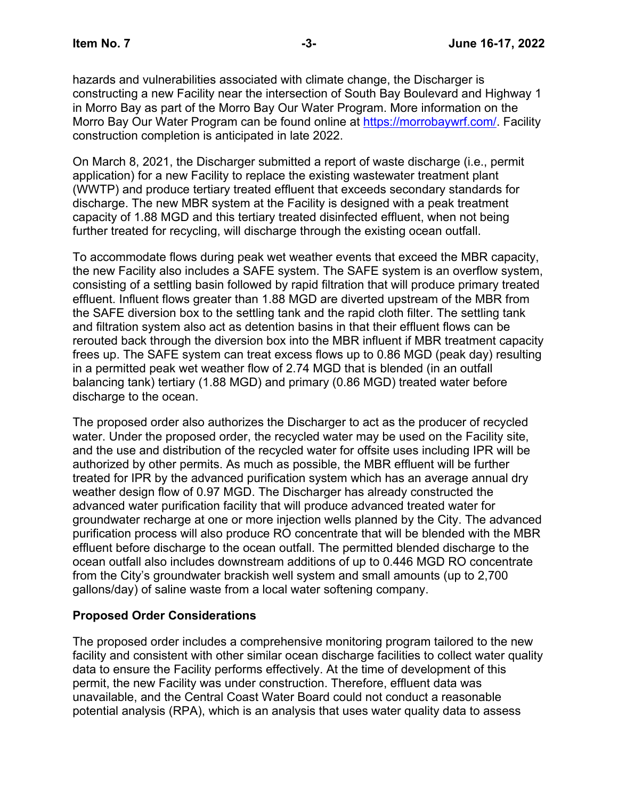hazards and vulnerabilities associated with climate change, the Discharger is constructing a new Facility near the intersection of South Bay Boulevard and Highway 1 in Morro Bay as part of the Morro Bay Our Water Program. More information on the Morro Bay Our Water Program can be found online at [https://morrobaywrf.com/.](https://morrobaywrf.com/) Facility construction completion is anticipated in late 2022.

On March 8, 2021, the Discharger submitted a report of waste discharge (i.e., permit application) for a new Facility to replace the existing wastewater treatment plant (WWTP) and produce tertiary treated effluent that exceeds secondary standards for discharge. The new MBR system at the Facility is designed with a peak treatment capacity of 1.88 MGD and this tertiary treated disinfected effluent, when not being further treated for recycling, will discharge through the existing ocean outfall.

To accommodate flows during peak wet weather events that exceed the MBR capacity, the new Facility also includes a SAFE system. The SAFE system is an overflow system, consisting of a settling basin followed by rapid filtration that will produce primary treated effluent. Influent flows greater than 1.88 MGD are diverted upstream of the MBR from the SAFE diversion box to the settling tank and the rapid cloth filter. The settling tank and filtration system also act as detention basins in that their effluent flows can be rerouted back through the diversion box into the MBR influent if MBR treatment capacity frees up. The SAFE system can treat excess flows up to 0.86 MGD (peak day) resulting in a permitted peak wet weather flow of 2.74 MGD that is blended (in an outfall balancing tank) tertiary (1.88 MGD) and primary (0.86 MGD) treated water before discharge to the ocean.

The proposed order also authorizes the Discharger to act as the producer of recycled water. Under the proposed order, the recycled water may be used on the Facility site, and the use and distribution of the recycled water for offsite uses including IPR will be authorized by other permits. As much as possible, the MBR effluent will be further treated for IPR by the advanced purification system which has an average annual dry weather design flow of 0.97 MGD. The Discharger has already constructed the advanced water purification facility that will produce advanced treated water for groundwater recharge at one or more injection wells planned by the City. The advanced purification process will also produce RO concentrate that will be blended with the MBR effluent before discharge to the ocean outfall. The permitted blended discharge to the ocean outfall also includes downstream additions of up to 0.446 MGD RO concentrate from the City's groundwater brackish well system and small amounts (up to 2,700 gallons/day) of saline waste from a local water softening company.

### **Proposed Order Considerations**

The proposed order includes a comprehensive monitoring program tailored to the new facility and consistent with other similar ocean discharge facilities to collect water quality data to ensure the Facility performs effectively. At the time of development of this permit, the new Facility was under construction. Therefore, effluent data was unavailable, and the Central Coast Water Board could not conduct a reasonable potential analysis (RPA), which is an analysis that uses water quality data to assess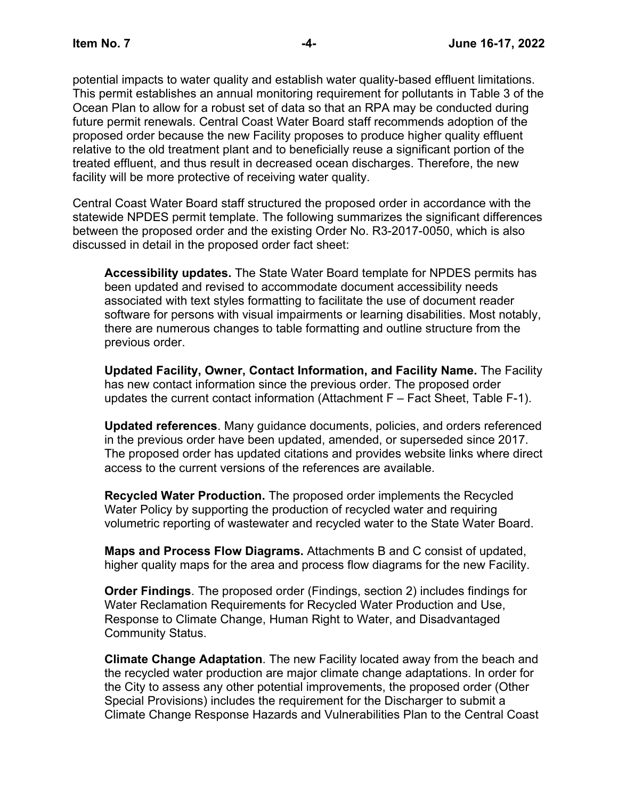potential impacts to water quality and establish water quality-based effluent limitations. This permit establishes an annual monitoring requirement for pollutants in Table 3 of the Ocean Plan to allow for a robust set of data so that an RPA may be conducted during future permit renewals. Central Coast Water Board staff recommends adoption of the proposed order because the new Facility proposes to produce higher quality effluent relative to the old treatment plant and to beneficially reuse a significant portion of the treated effluent, and thus result in decreased ocean discharges. Therefore, the new facility will be more protective of receiving water quality.

Central Coast Water Board staff structured the proposed order in accordance with the statewide NPDES permit template. The following summarizes the significant differences between the proposed order and the existing Order No. R3-2017-0050, which is also discussed in detail in the proposed order fact sheet:

**Accessibility updates.** The State Water Board template for NPDES permits has been updated and revised to accommodate document accessibility needs associated with text styles formatting to facilitate the use of document reader software for persons with visual impairments or learning disabilities. Most notably, there are numerous changes to table formatting and outline structure from the previous order.

**Updated Facility, Owner, Contact Information, and Facility Name.** The Facility has new contact information since the previous order. The proposed order updates the current contact information (Attachment F – Fact Sheet, Table F-1).

**Updated references**. Many guidance documents, policies, and orders referenced in the previous order have been updated, amended, or superseded since 2017. The proposed order has updated citations and provides website links where direct access to the current versions of the references are available.

**Recycled Water Production.** The proposed order implements the Recycled Water Policy by supporting the production of recycled water and requiring volumetric reporting of wastewater and recycled water to the State Water Board.

**Maps and Process Flow Diagrams.** Attachments B and C consist of updated, higher quality maps for the area and process flow diagrams for the new Facility.

**Order Findings**. The proposed order (Findings, section 2) includes findings for Water Reclamation Requirements for Recycled Water Production and Use, Response to Climate Change, Human Right to Water, and Disadvantaged Community Status.

**Climate Change Adaptation**. The new Facility located away from the beach and the recycled water production are major climate change adaptations. In order for the City to assess any other potential improvements, the proposed order (Other Special Provisions) includes the requirement for the Discharger to submit a Climate Change Response Hazards and Vulnerabilities Plan to the Central Coast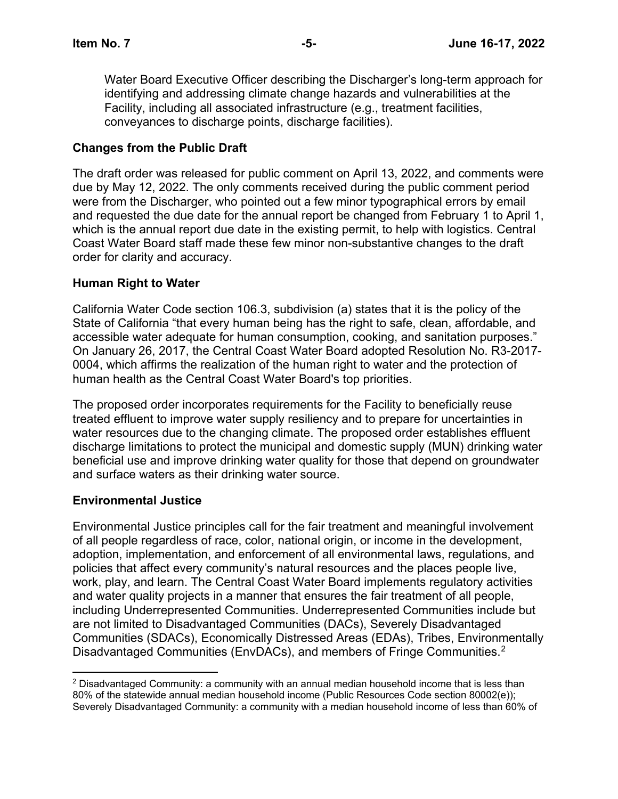Water Board Executive Officer describing the Discharger's long-term approach for identifying and addressing climate change hazards and vulnerabilities at the Facility, including all associated infrastructure (e.g., treatment facilities, conveyances to discharge points, discharge facilities).

## **Changes from the Public Draft**

The draft order was released for public comment on April 13, 2022, and comments were due by May 12, 2022. The only comments received during the public comment period were from the Discharger, who pointed out a few minor typographical errors by email and requested the due date for the annual report be changed from February 1 to April 1, which is the annual report due date in the existing permit, to help with logistics. Central Coast Water Board staff made these few minor non-substantive changes to the draft order for clarity and accuracy.

## **Human Right to Water**

California Water Code section 106.3, subdivision (a) states that it is the policy of the State of California "that every human being has the right to safe, clean, affordable, and accessible water adequate for human consumption, cooking, and sanitation purposes." On January 26, 2017, the Central Coast Water Board adopted Resolution No. R3-2017- 0004, which affirms the realization of the human right to water and the protection of human health as the Central Coast Water Board's top priorities.

The proposed order incorporates requirements for the Facility to beneficially reuse treated effluent to improve water supply resiliency and to prepare for uncertainties in water resources due to the changing climate. The proposed order establishes effluent discharge limitations to protect the municipal and domestic supply (MUN) drinking water beneficial use and improve drinking water quality for those that depend on groundwater and surface waters as their drinking water source.

## **Environmental Justice**

Environmental Justice principles call for the fair treatment and meaningful involvement of all people regardless of race, color, national origin, or income in the development, adoption, implementation, and enforcement of all environmental laws, regulations, and policies that affect every community's natural resources and the places people live, work, play, and learn. The Central Coast Water Board implements regulatory activities and water quality projects in a manner that ensures the fair treatment of all people, including Underrepresented Communities. Underrepresented Communities include but are not limited to Disadvantaged Communities (DACs), Severely Disadvantaged Communities (SDACs), Economically Distressed Areas (EDAs), Tribes, Environmentally Disadvantaged Communities (EnvDACs), and members of Fringe Communities.<sup>[2](#page-4-0)</sup>

<span id="page-4-0"></span> $2$  Disadvantaged Community: a community with an annual median household income that is less than 80% of the statewide annual median household income (Public Resources Code section 80002(e)); Severely Disadvantaged Community: a community with a median household income of less than 60% of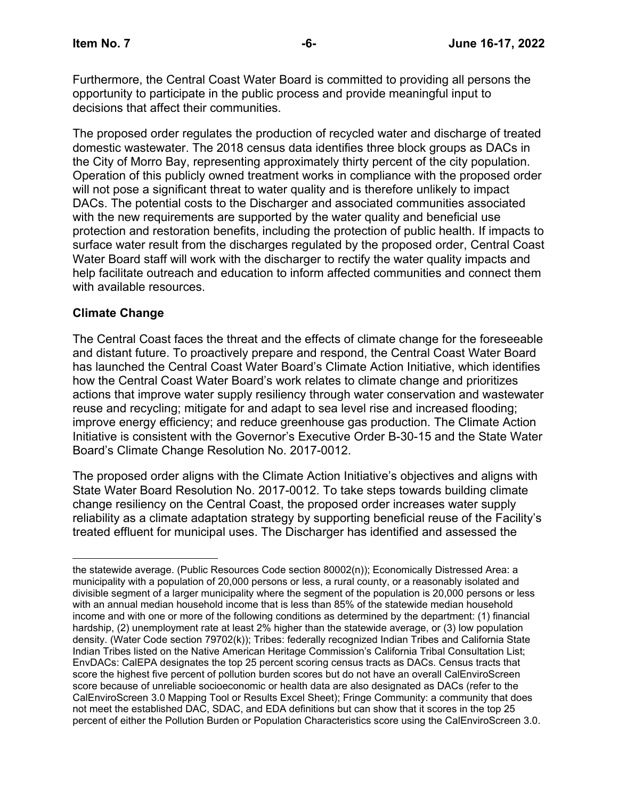Furthermore, the Central Coast Water Board is committed to providing all persons the opportunity to participate in the public process and provide meaningful input to decisions that affect their communities.

The proposed order regulates the production of recycled water and discharge of treated domestic wastewater. The 2018 census data identifies three block groups as DACs in the City of Morro Bay, representing approximately thirty percent of the city population. Operation of this publicly owned treatment works in compliance with the proposed order will not pose a significant threat to water quality and is therefore unlikely to impact DACs. The potential costs to the Discharger and associated communities associated with the new requirements are supported by the water quality and beneficial use protection and restoration benefits, including the protection of public health. If impacts to surface water result from the discharges regulated by the proposed order, Central Coast Water Board staff will work with the discharger to rectify the water quality impacts and help facilitate outreach and education to inform affected communities and connect them with available resources.

## **Climate Change**

The Central Coast faces the threat and the effects of climate change for the foreseeable and distant future. To proactively prepare and respond, the Central Coast Water Board has launched the Central Coast Water Board's Climate Action Initiative, which identifies how the Central Coast Water Board's work relates to climate change and prioritizes actions that improve water supply resiliency through water conservation and wastewater reuse and recycling; mitigate for and adapt to sea level rise and increased flooding; improve energy efficiency; and reduce greenhouse gas production. The Climate Action Initiative is consistent with the Governor's Executive Order B-30-15 and the State Water Board's Climate Change Resolution No. 2017-0012.

The proposed order aligns with the Climate Action Initiative's objectives and aligns with State Water Board Resolution No. 2017-0012. To take steps towards building climate change resiliency on the Central Coast, the proposed order increases water supply reliability as a climate adaptation strategy by supporting beneficial reuse of the Facility's treated effluent for municipal uses. The Discharger has identified and assessed the

the statewide average. (Public Resources Code section 80002(n)); Economically Distressed Area: a municipality with a population of 20,000 persons or less, a rural county, or a reasonably isolated and divisible segment of a larger municipality where the segment of the population is 20,000 persons or less with an annual median household income that is less than 85% of the statewide median household income and with one or more of the following conditions as determined by the department: (1) financial hardship, (2) unemployment rate at least 2% higher than the statewide average, or (3) low population density. (Water Code section 79702(k)); Tribes: federally recognized Indian Tribes and California State Indian Tribes listed on the Native American Heritage Commission's California Tribal Consultation List; EnvDACs: CalEPA designates the top 25 percent scoring census tracts as DACs. Census tracts that score the highest five percent of pollution burden scores but do not have an overall CalEnviroScreen score because of unreliable socioeconomic or health data are also designated as DACs (refer to the CalEnviroScreen 3.0 Mapping Tool or Results Excel Sheet); Fringe Community: a community that does not meet the established DAC, SDAC, and EDA definitions but can show that it scores in the top 25 percent of either the Pollution Burden or Population Characteristics score using the CalEnviroScreen 3.0.